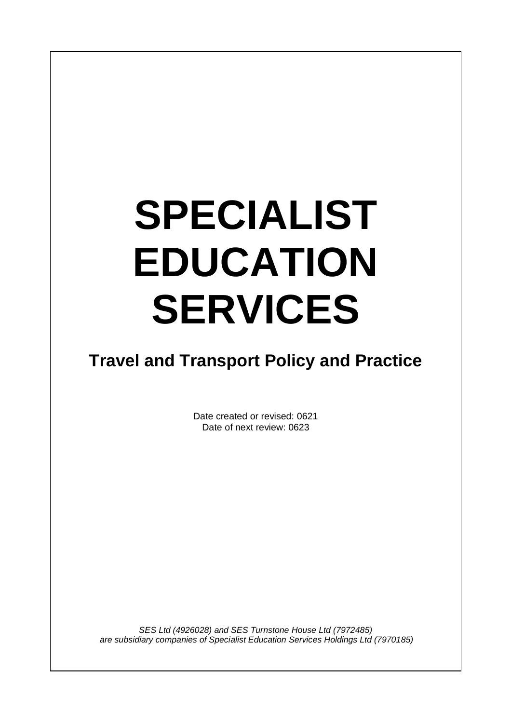# **SPECIALIST EDUCATION SERVICES**

 $\overline{\phantom{a}}$ 

# **Travel and Transport Policy and Practice**

Date created or revised: 0621 Date of next review: 0623

*SES Ltd (4926028) and SES Turnstone House Ltd (7972485) are subsidiary companies of Specialist Education Services Holdings Ltd (7970185)*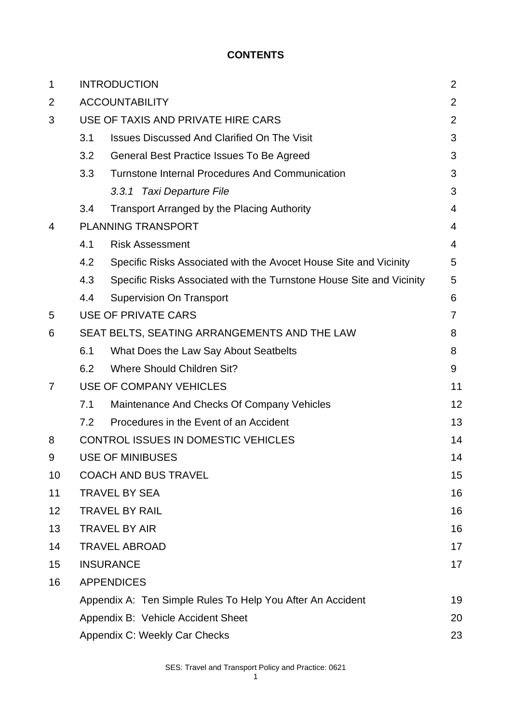# **CONTENTS**

| $\mathbf 1$    | <b>INTRODUCTION</b>                          |                                                                      |                |  |
|----------------|----------------------------------------------|----------------------------------------------------------------------|----------------|--|
| 2              | <b>ACCOUNTABILITY</b>                        |                                                                      | $\overline{2}$ |  |
| 3              | USE OF TAXIS AND PRIVATE HIRE CARS           |                                                                      |                |  |
|                | 3.1                                          | <b>Issues Discussed And Clarified On The Visit</b>                   | 3              |  |
|                | 3.2                                          | General Best Practice Issues To Be Agreed                            | 3              |  |
|                | 3.3                                          | <b>Turnstone Internal Procedures And Communication</b>               | 3              |  |
|                |                                              | 3.3.1 Taxi Departure File                                            | 3              |  |
|                | 3.4                                          | <b>Transport Arranged by the Placing Authority</b>                   | 4              |  |
| 4              | <b>PLANNING TRANSPORT</b>                    |                                                                      |                |  |
|                | 4.1                                          | <b>Risk Assessment</b>                                               | 4              |  |
|                | 4.2                                          | Specific Risks Associated with the Avocet House Site and Vicinity    | 5              |  |
|                | 4.3                                          | Specific Risks Associated with the Turnstone House Site and Vicinity | 5              |  |
|                | 4.4                                          | <b>Supervision On Transport</b>                                      | 6              |  |
| 5              |                                              | <b>USE OF PRIVATE CARS</b>                                           | $\overline{7}$ |  |
| 6              | SEAT BELTS, SEATING ARRANGEMENTS AND THE LAW |                                                                      |                |  |
|                | 6.1                                          | What Does the Law Say About Seatbelts                                | 8              |  |
|                | 6.2                                          | <b>Where Should Children Sit?</b>                                    | 9              |  |
| $\overline{7}$ |                                              | USE OF COMPANY VEHICLES                                              | 11             |  |
|                | 7.1                                          | Maintenance And Checks Of Company Vehicles                           | 12             |  |
|                | 7.2                                          | Procedures in the Event of an Accident                               | 13             |  |
| 8              | <b>CONTROL ISSUES IN DOMESTIC VEHICLES</b>   |                                                                      | 14             |  |
| 9              | <b>USE OF MINIBUSES</b>                      |                                                                      | 14             |  |
| 10             | <b>COACH AND BUS TRAVEL</b>                  |                                                                      | 15             |  |
| 11             | <b>TRAVEL BY SEA</b>                         |                                                                      | 16             |  |
| 12             | <b>TRAVEL BY RAIL</b>                        |                                                                      | 16             |  |
| 13             | <b>TRAVEL BY AIR</b>                         |                                                                      | 16             |  |
| 14             | <b>TRAVEL ABROAD</b>                         |                                                                      | 17             |  |
| 15             | <b>INSURANCE</b>                             |                                                                      | 17             |  |
| 16             | <b>APPENDICES</b>                            |                                                                      |                |  |
|                |                                              | Appendix A: Ten Simple Rules To Help You After An Accident           | 19             |  |
|                |                                              | Appendix B: Vehicle Accident Sheet                                   | 20             |  |
|                | Appendix C: Weekly Car Checks                |                                                                      |                |  |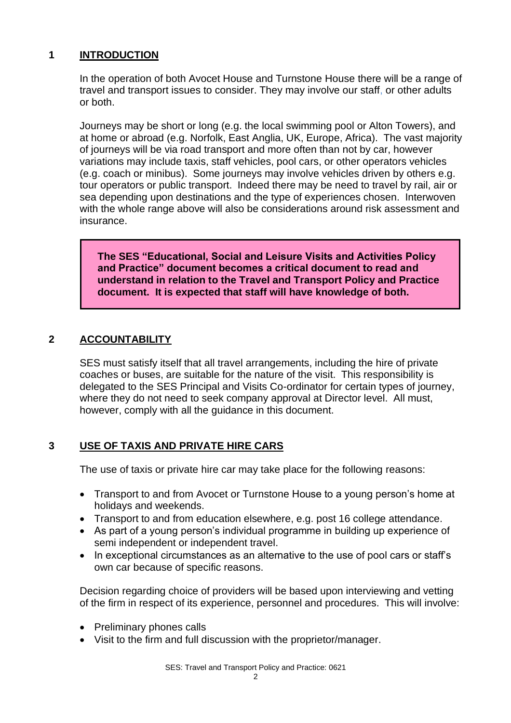# **1 INTRODUCTION**

In the operation of both Avocet House and Turnstone House there will be a range of travel and transport issues to consider. They may involve our staff, or other adults or both.

Journeys may be short or long (e.g. the local swimming pool or Alton Towers), and at home or abroad (e.g. Norfolk, East Anglia, UK, Europe, Africa). The vast majority of journeys will be via road transport and more often than not by car, however variations may include taxis, staff vehicles, pool cars, or other operators vehicles (e.g. coach or minibus). Some journeys may involve vehicles driven by others e.g. tour operators or public transport. Indeed there may be need to travel by rail, air or sea depending upon destinations and the type of experiences chosen. Interwoven with the whole range above will also be considerations around risk assessment and insurance.

**The SES "Educational, Social and Leisure Visits and Activities Policy and Practice" document becomes a critical document to read and understand in relation to the Travel and Transport Policy and Practice document. It is expected that staff will have knowledge of both.**

# **2 ACCOUNTABILITY**

SES must satisfy itself that all travel arrangements, including the hire of private coaches or buses, are suitable for the nature of the visit. This responsibility is delegated to the SES Principal and Visits Co-ordinator for certain types of journey, where they do not need to seek company approval at Director level. All must, however, comply with all the guidance in this document.

# **3 USE OF TAXIS AND PRIVATE HIRE CARS**

The use of taxis or private hire car may take place for the following reasons:

- Transport to and from Avocet or Turnstone House to a young person's home at holidays and weekends.
- Transport to and from education elsewhere, e.g. post 16 college attendance.
- As part of a young person's individual programme in building up experience of semi independent or independent travel.
- In exceptional circumstances as an alternative to the use of pool cars or staff's own car because of specific reasons.

Decision regarding choice of providers will be based upon interviewing and vetting of the firm in respect of its experience, personnel and procedures. This will involve:

- Preliminary phones calls
- Visit to the firm and full discussion with the proprietor/manager.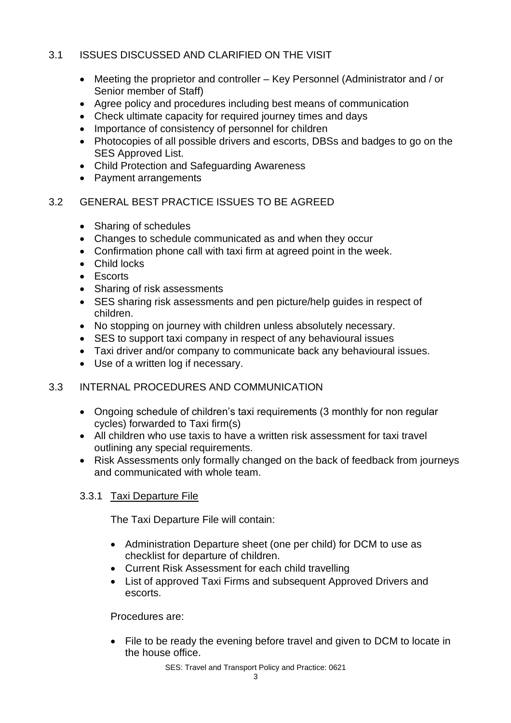# 3.1 ISSUES DISCUSSED AND CLARIFIED ON THE VISIT

- Meeting the proprietor and controller Key Personnel (Administrator and / or Senior member of Staff)
- Agree policy and procedures including best means of communication
- Check ultimate capacity for required journey times and days
- Importance of consistency of personnel for children
- Photocopies of all possible drivers and escorts, DBSs and badges to go on the SES Approved List.
- Child Protection and Safeguarding Awareness
- Payment arrangements

# 3.2 GENERAL BEST PRACTICE ISSUES TO BE AGREED

- Sharing of schedules
- Changes to schedule communicated as and when they occur
- Confirmation phone call with taxi firm at agreed point in the week.
- Child locks
- Escorts
- Sharing of risk assessments
- SES sharing risk assessments and pen picture/help guides in respect of children.
- No stopping on journey with children unless absolutely necessary.
- SES to support taxi company in respect of any behavioural issues
- Taxi driver and/or company to communicate back any behavioural issues.
- Use of a written log if necessary.

# 3.3 INTERNAL PROCEDURES AND COMMUNICATION

- Ongoing schedule of children's taxi requirements (3 monthly for non regular cycles) forwarded to Taxi firm(s)
- All children who use taxis to have a written risk assessment for taxi travel outlining any special requirements.
- Risk Assessments only formally changed on the back of feedback from journeys and communicated with whole team.

# 3.3.1 Taxi Departure File

The Taxi Departure File will contain:

- Administration Departure sheet (one per child) for DCM to use as checklist for departure of children.
- Current Risk Assessment for each child travelling
- List of approved Taxi Firms and subsequent Approved Drivers and escorts.

Procedures are:

• File to be ready the evening before travel and given to DCM to locate in the house office.

SES: Travel and Transport Policy and Practice: 0621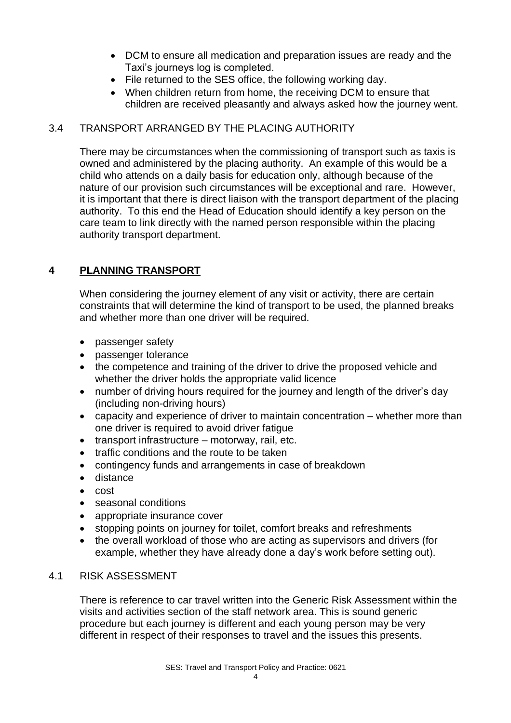- DCM to ensure all medication and preparation issues are ready and the Taxi's journeys log is completed.
- File returned to the SES office, the following working day.
- When children return from home, the receiving DCM to ensure that children are received pleasantly and always asked how the journey went.

# 3.4 TRANSPORT ARRANGED BY THE PLACING AUTHORITY

There may be circumstances when the commissioning of transport such as taxis is owned and administered by the placing authority. An example of this would be a child who attends on a daily basis for education only, although because of the nature of our provision such circumstances will be exceptional and rare. However, it is important that there is direct liaison with the transport department of the placing authority. To this end the Head of Education should identify a key person on the care team to link directly with the named person responsible within the placing authority transport department.

# **4 PLANNING TRANSPORT**

When considering the journey element of any visit or activity, there are certain constraints that will determine the kind of transport to be used, the planned breaks and whether more than one driver will be required.

- passenger safety
- passenger tolerance
- the competence and training of the driver to drive the proposed vehicle and whether the driver holds the appropriate valid licence
- number of driving hours required for the journey and length of the driver's day (including non-driving hours)
- capacity and experience of driver to maintain concentration whether more than one driver is required to avoid driver fatigue
- transport infrastructure motorway, rail, etc.
- traffic conditions and the route to be taken
- contingency funds and arrangements in case of breakdown
- distance
- cost
- seasonal conditions
- appropriate insurance cover
- stopping points on journey for toilet, comfort breaks and refreshments
- the overall workload of those who are acting as supervisors and drivers (for example, whether they have already done a day's work before setting out).

#### 4.1 RISK ASSESSMENT

There is reference to car travel written into the Generic Risk Assessment within the visits and activities section of the staff network area. This is sound generic procedure but each journey is different and each young person may be very different in respect of their responses to travel and the issues this presents.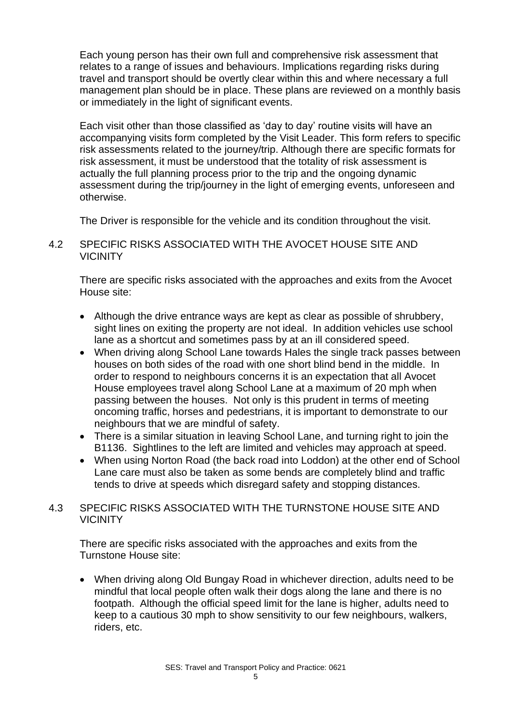Each young person has their own full and comprehensive risk assessment that relates to a range of issues and behaviours. Implications regarding risks during travel and transport should be overtly clear within this and where necessary a full management plan should be in place. These plans are reviewed on a monthly basis or immediately in the light of significant events.

Each visit other than those classified as 'day to day' routine visits will have an accompanying visits form completed by the Visit Leader. This form refers to specific risk assessments related to the journey/trip. Although there are specific formats for risk assessment, it must be understood that the totality of risk assessment is actually the full planning process prior to the trip and the ongoing dynamic assessment during the trip/journey in the light of emerging events, unforeseen and otherwise.

The Driver is responsible for the vehicle and its condition throughout the visit.

## 4.2 SPECIFIC RISKS ASSOCIATED WITH THE AVOCET HOUSE SITE AND VICINITY

There are specific risks associated with the approaches and exits from the Avocet House site:

- Although the drive entrance ways are kept as clear as possible of shrubbery, sight lines on exiting the property are not ideal. In addition vehicles use school lane as a shortcut and sometimes pass by at an ill considered speed.
- When driving along School Lane towards Hales the single track passes between houses on both sides of the road with one short blind bend in the middle. In order to respond to neighbours concerns it is an expectation that all Avocet House employees travel along School Lane at a maximum of 20 mph when passing between the houses. Not only is this prudent in terms of meeting oncoming traffic, horses and pedestrians, it is important to demonstrate to our neighbours that we are mindful of safety.
- There is a similar situation in leaving School Lane, and turning right to join the B1136. Sightlines to the left are limited and vehicles may approach at speed.
- When using Norton Road (the back road into Loddon) at the other end of School Lane care must also be taken as some bends are completely blind and traffic tends to drive at speeds which disregard safety and stopping distances.

## 4.3 SPECIFIC RISKS ASSOCIATED WITH THE TURNSTONE HOUSE SITE AND **VICINITY**

There are specific risks associated with the approaches and exits from the Turnstone House site:

• When driving along Old Bungay Road in whichever direction, adults need to be mindful that local people often walk their dogs along the lane and there is no footpath. Although the official speed limit for the lane is higher, adults need to keep to a cautious 30 mph to show sensitivity to our few neighbours, walkers, riders, etc.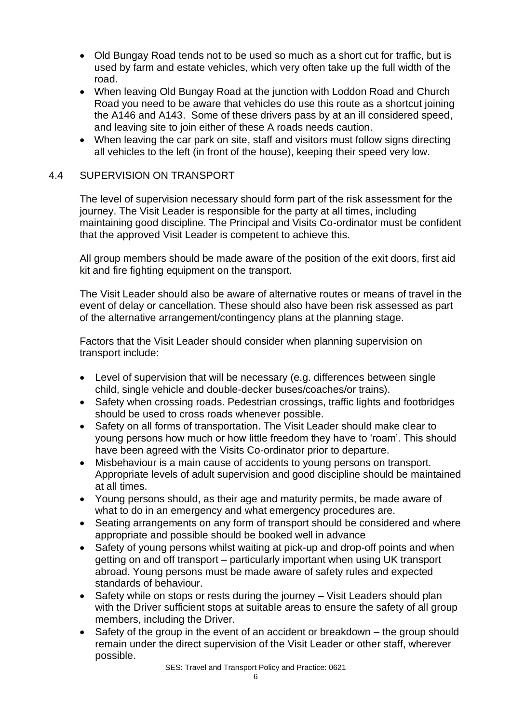- Old Bungay Road tends not to be used so much as a short cut for traffic, but is used by farm and estate vehicles, which very often take up the full width of the road.
- When leaving Old Bungay Road at the junction with Loddon Road and Church Road you need to be aware that vehicles do use this route as a shortcut joining the A146 and A143. Some of these drivers pass by at an ill considered speed, and leaving site to join either of these A roads needs caution.
- When leaving the car park on site, staff and visitors must follow signs directing all vehicles to the left (in front of the house), keeping their speed very low.

## 4.4 SUPERVISION ON TRANSPORT

The level of supervision necessary should form part of the risk assessment for the journey. The Visit Leader is responsible for the party at all times, including maintaining good discipline. The Principal and Visits Co-ordinator must be confident that the approved Visit Leader is competent to achieve this.

All group members should be made aware of the position of the exit doors, first aid kit and fire fighting equipment on the transport.

The Visit Leader should also be aware of alternative routes or means of travel in the event of delay or cancellation. These should also have been risk assessed as part of the alternative arrangement/contingency plans at the planning stage.

Factors that the Visit Leader should consider when planning supervision on transport include:

- Level of supervision that will be necessary (e.g. differences between single child, single vehicle and double-decker buses/coaches/or trains).
- Safety when crossing roads. Pedestrian crossings, traffic lights and footbridges should be used to cross roads whenever possible.
- Safety on all forms of transportation. The Visit Leader should make clear to young persons how much or how little freedom they have to 'roam'. This should have been agreed with the Visits Co-ordinator prior to departure.
- Misbehaviour is a main cause of accidents to young persons on transport. Appropriate levels of adult supervision and good discipline should be maintained at all times.
- Young persons should, as their age and maturity permits, be made aware of what to do in an emergency and what emergency procedures are.
- Seating arrangements on any form of transport should be considered and where appropriate and possible should be booked well in advance
- Safety of young persons whilst waiting at pick-up and drop-off points and when getting on and off transport – particularly important when using UK transport abroad. Young persons must be made aware of safety rules and expected standards of behaviour.
- Safety while on stops or rests during the journey Visit Leaders should plan with the Driver sufficient stops at suitable areas to ensure the safety of all group members, including the Driver.
- Safety of the group in the event of an accident or breakdown the group should remain under the direct supervision of the Visit Leader or other staff, wherever possible.

SES: Travel and Transport Policy and Practice: 0621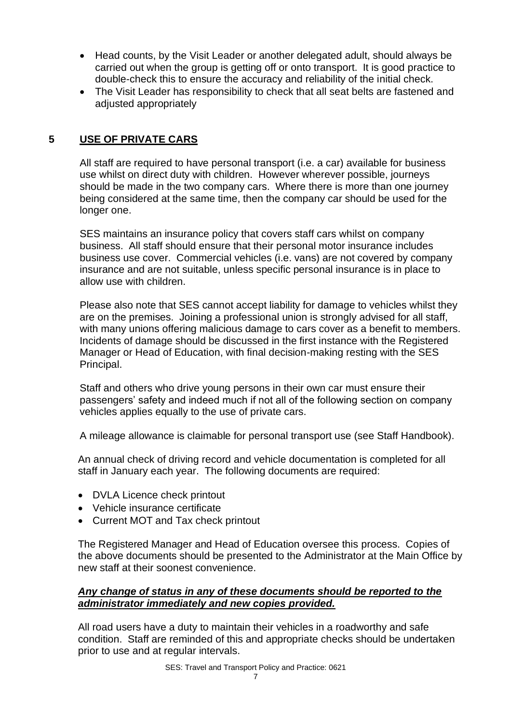- Head counts, by the Visit Leader or another delegated adult, should always be carried out when the group is getting off or onto transport. It is good practice to double-check this to ensure the accuracy and reliability of the initial check.
- The Visit Leader has responsibility to check that all seat belts are fastened and adjusted appropriately

# **5 USE OF PRIVATE CARS**

All staff are required to have personal transport (i.e. a car) available for business use whilst on direct duty with children. However wherever possible, journeys should be made in the two company cars. Where there is more than one journey being considered at the same time, then the company car should be used for the longer one.

SES maintains an insurance policy that covers staff cars whilst on company business. All staff should ensure that their personal motor insurance includes business use cover. Commercial vehicles (i.e. vans) are not covered by company insurance and are not suitable, unless specific personal insurance is in place to allow use with children.

Please also note that SES cannot accept liability for damage to vehicles whilst they are on the premises. Joining a professional union is strongly advised for all staff, with many unions offering malicious damage to cars cover as a benefit to members. Incidents of damage should be discussed in the first instance with the Registered Manager or Head of Education, with final decision-making resting with the SES Principal.

Staff and others who drive young persons in their own car must ensure their passengers' safety and indeed much if not all of the following section on company vehicles applies equally to the use of private cars.

A mileage allowance is claimable for personal transport use (see Staff Handbook).

An annual check of driving record and vehicle documentation is completed for all staff in January each year. The following documents are required:

- DVLA Licence check printout
- Vehicle insurance certificate
- Current MOT and Tax check printout

The Registered Manager and Head of Education oversee this process. Copies of the above documents should be presented to the Administrator at the Main Office by new staff at their soonest convenience.

#### *Any change of status in any of these documents should be reported to the administrator immediately and new copies provided.*

All road users have a duty to maintain their vehicles in a roadworthy and safe condition. Staff are reminded of this and appropriate checks should be undertaken prior to use and at regular intervals.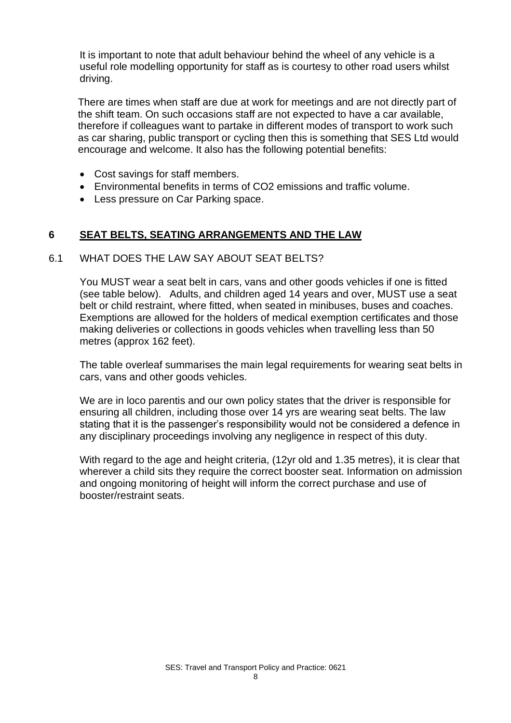It is important to note that adult behaviour behind the wheel of any vehicle is a useful role modelling opportunity for staff as is courtesy to other road users whilst driving.

There are times when staff are due at work for meetings and are not directly part of the shift team. On such occasions staff are not expected to have a car available, therefore if colleagues want to partake in different modes of transport to work such as car sharing, public transport or cycling then this is something that SES Ltd would encourage and welcome. It also has the following potential benefits:

- Cost savings for staff members.
- Environmental benefits in terms of CO2 emissions and traffic volume.
- Less pressure on Car Parking space.

#### **6 SEAT BELTS, SEATING ARRANGEMENTS AND THE LAW**

#### 6.1 WHAT DOES THE LAW SAY ABOUT SEAT BELTS?

You MUST wear a seat belt in cars, vans and other goods vehicles if one is fitted (see table below). Adults, and children aged 14 years and over, MUST use a seat belt or child restraint, where fitted, when seated in minibuses, buses and coaches. Exemptions are allowed for the holders of medical exemption certificates and those making deliveries or collections in goods vehicles when travelling less than 50 metres (approx 162 feet).

The table overleaf summarises the main legal requirements for wearing seat belts in cars, vans and other goods vehicles.

We are in loco parentis and our own policy states that the driver is responsible for ensuring all children, including those over 14 yrs are wearing seat belts. The law stating that it is the passenger's responsibility would not be considered a defence in any disciplinary proceedings involving any negligence in respect of this duty.

With regard to the age and height criteria, (12yr old and 1.35 metres), it is clear that wherever a child sits they require the correct booster seat. Information on admission and ongoing monitoring of height will inform the correct purchase and use of booster/restraint seats.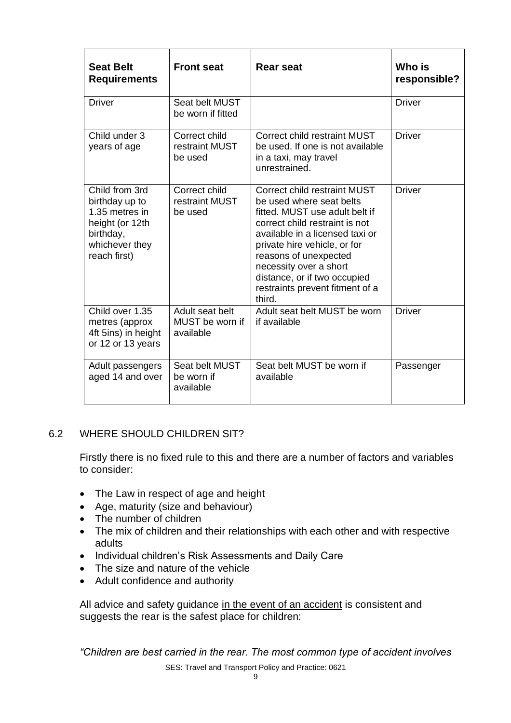| <b>Seat Belt</b><br><b>Requirements</b>                                                                              | <b>Front seat</b>                               | <b>Rear seat</b>                                                                                                                                                                                                                                                                                                                | Who is<br>responsible? |
|----------------------------------------------------------------------------------------------------------------------|-------------------------------------------------|---------------------------------------------------------------------------------------------------------------------------------------------------------------------------------------------------------------------------------------------------------------------------------------------------------------------------------|------------------------|
| <b>Driver</b>                                                                                                        | Seat belt MUST<br>be worn if fitted             |                                                                                                                                                                                                                                                                                                                                 | <b>Driver</b>          |
| Child under 3<br>years of age                                                                                        | Correct child<br>restraint MUST<br>be used      | <b>Correct child restraint MUST</b><br>be used. If one is not available<br>in a taxi, may travel<br>unrestrained.                                                                                                                                                                                                               | <b>Driver</b>          |
| Child from 3rd<br>birthday up to<br>1.35 metres in<br>height (or 12th<br>birthday,<br>whichever they<br>reach first) | Correct child<br>restraint MUST<br>be used      | Correct child restraint MUST<br>be used where seat belts<br>fitted. MUST use adult belt if<br>correct child restraint is not<br>available in a licensed taxi or<br>private hire vehicle, or for<br>reasons of unexpected<br>necessity over a short<br>distance, or if two occupied<br>restraints prevent fitment of a<br>third. | <b>Driver</b>          |
| Child over 1.35<br>metres (approx<br>4ft 5ins) in height<br>or 12 or 13 years                                        | Adult seat belt<br>MUST be worn if<br>available | Adult seat belt MUST be worn<br>if available                                                                                                                                                                                                                                                                                    | <b>Driver</b>          |
| Adult passengers<br>aged 14 and over                                                                                 | Seat belt MUST<br>be worn if<br>available       | Seat belt MUST be worn if<br>available                                                                                                                                                                                                                                                                                          | Passenger              |

# 6.2 WHERE SHOULD CHILDREN SIT?

Firstly there is no fixed rule to this and there are a number of factors and variables to consider:

- The Law in respect of age and height
- Age, maturity (size and behaviour)
- The number of children
- The mix of children and their relationships with each other and with respective adults
- Individual children's Risk Assessments and Daily Care
- The size and nature of the vehicle
- Adult confidence and authority

All advice and safety guidance in the event of an accident is consistent and suggests the rear is the safest place for children:

*"Children are best carried in the rear. The most common type of accident involves* 

SES: Travel and Transport Policy and Practice: 0621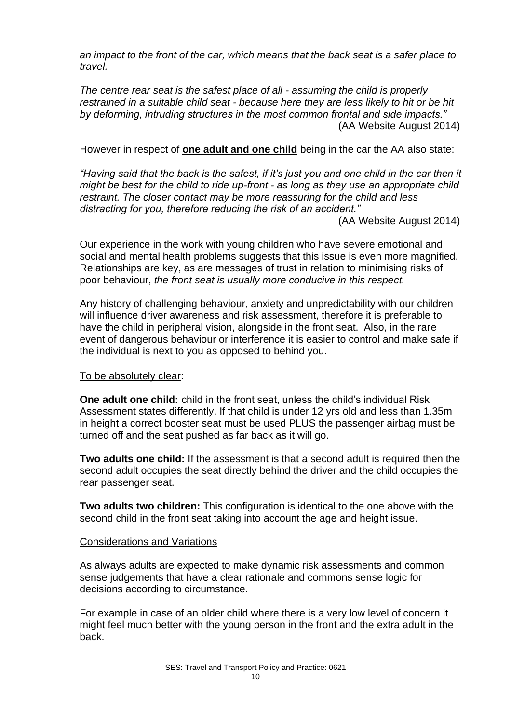*an impact to the front of the car, which means that the back seat is a safer place to travel.*

*The centre rear seat is the safest place of all - assuming the child is properly restrained in a suitable child seat - because here they are less likely to hit or be hit by deforming, intruding structures in the most common frontal and side impacts."* (AA Website August 2014)

However in respect of **one adult and one child** being in the car the AA also state:

*"Having said that the back is the safest, if it's just you and one child in the car then it might be best for the child to ride up-front - as long as they use an appropriate child restraint. The closer contact may be more reassuring for the child and less distracting for you, therefore reducing the risk of an accident."*

(AA Website August 2014)

Our experience in the work with young children who have severe emotional and social and mental health problems suggests that this issue is even more magnified. Relationships are key, as are messages of trust in relation to minimising risks of poor behaviour, *the front seat is usually more conducive in this respect.*

Any history of challenging behaviour, anxiety and unpredictability with our children will influence driver awareness and risk assessment, therefore it is preferable to have the child in peripheral vision, alongside in the front seat. Also, in the rare event of dangerous behaviour or interference it is easier to control and make safe if the individual is next to you as opposed to behind you.

#### To be absolutely clear:

**One adult one child:** child in the front seat, unless the child's individual Risk Assessment states differently. If that child is under 12 yrs old and less than 1.35m in height a correct booster seat must be used PLUS the passenger airbag must be turned off and the seat pushed as far back as it will go.

**Two adults one child:** If the assessment is that a second adult is required then the second adult occupies the seat directly behind the driver and the child occupies the rear passenger seat.

**Two adults two children:** This configuration is identical to the one above with the second child in the front seat taking into account the age and height issue.

#### Considerations and Variations

As always adults are expected to make dynamic risk assessments and common sense judgements that have a clear rationale and commons sense logic for decisions according to circumstance.

For example in case of an older child where there is a very low level of concern it might feel much better with the young person in the front and the extra adult in the back.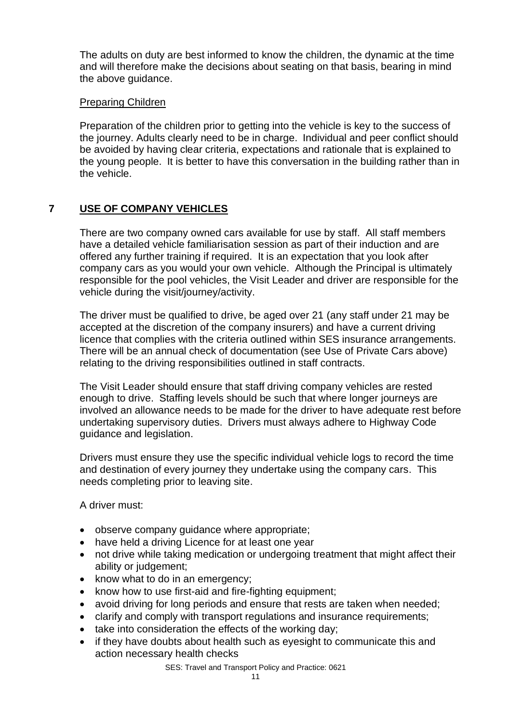The adults on duty are best informed to know the children, the dynamic at the time and will therefore make the decisions about seating on that basis, bearing in mind the above guidance.

#### Preparing Children

Preparation of the children prior to getting into the vehicle is key to the success of the journey. Adults clearly need to be in charge. Individual and peer conflict should be avoided by having clear criteria, expectations and rationale that is explained to the young people. It is better to have this conversation in the building rather than in the vehicle.

# **7 USE OF COMPANY VEHICLES**

There are two company owned cars available for use by staff. All staff members have a detailed vehicle familiarisation session as part of their induction and are offered any further training if required. It is an expectation that you look after company cars as you would your own vehicle. Although the Principal is ultimately responsible for the pool vehicles, the Visit Leader and driver are responsible for the vehicle during the visit/journey/activity.

The driver must be qualified to drive, be aged over 21 (any staff under 21 may be accepted at the discretion of the company insurers) and have a current driving licence that complies with the criteria outlined within SES insurance arrangements. There will be an annual check of documentation (see Use of Private Cars above) relating to the driving responsibilities outlined in staff contracts.

The Visit Leader should ensure that staff driving company vehicles are rested enough to drive. Staffing levels should be such that where longer journeys are involved an allowance needs to be made for the driver to have adequate rest before undertaking supervisory duties. Drivers must always adhere to Highway Code guidance and legislation.

Drivers must ensure they use the specific individual vehicle logs to record the time and destination of every journey they undertake using the company cars. This needs completing prior to leaving site.

A driver must:

- observe company guidance where appropriate;
- have held a driving Licence for at least one year
- not drive while taking medication or undergoing treatment that might affect their ability or judgement;
- know what to do in an emergency;
- know how to use first-aid and fire-fighting equipment;
- avoid driving for long periods and ensure that rests are taken when needed;
- clarify and comply with transport regulations and insurance requirements;
- take into consideration the effects of the working day;
- if they have doubts about health such as eyesight to communicate this and action necessary health checks

SES: Travel and Transport Policy and Practice: 0621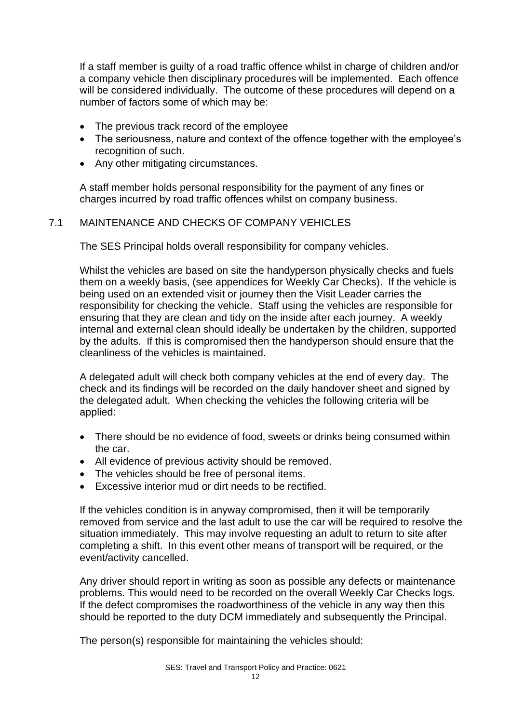If a staff member is guilty of a road traffic offence whilst in charge of children and/or a company vehicle then disciplinary procedures will be implemented. Each offence will be considered individually. The outcome of these procedures will depend on a number of factors some of which may be:

- The previous track record of the employee
- The seriousness, nature and context of the offence together with the employee's recognition of such.
- Any other mitigating circumstances.

A staff member holds personal responsibility for the payment of any fines or charges incurred by road traffic offences whilst on company business.

#### 7.1 MAINTENANCE AND CHECKS OF COMPANY VEHICLES

The SES Principal holds overall responsibility for company vehicles.

Whilst the vehicles are based on site the handyperson physically checks and fuels them on a weekly basis, (see appendices for Weekly Car Checks). If the vehicle is being used on an extended visit or journey then the Visit Leader carries the responsibility for checking the vehicle. Staff using the vehicles are responsible for ensuring that they are clean and tidy on the inside after each journey. A weekly internal and external clean should ideally be undertaken by the children, supported by the adults. If this is compromised then the handyperson should ensure that the cleanliness of the vehicles is maintained.

A delegated adult will check both company vehicles at the end of every day. The check and its findings will be recorded on the daily handover sheet and signed by the delegated adult. When checking the vehicles the following criteria will be applied:

- There should be no evidence of food, sweets or drinks being consumed within the car.
- All evidence of previous activity should be removed.
- The vehicles should be free of personal items.
- Excessive interior mud or dirt needs to be rectified.

If the vehicles condition is in anyway compromised, then it will be temporarily removed from service and the last adult to use the car will be required to resolve the situation immediately. This may involve requesting an adult to return to site after completing a shift. In this event other means of transport will be required, or the event/activity cancelled.

Any driver should report in writing as soon as possible any defects or maintenance problems. This would need to be recorded on the overall Weekly Car Checks logs. If the defect compromises the roadworthiness of the vehicle in any way then this should be reported to the duty DCM immediately and subsequently the Principal.

The person(s) responsible for maintaining the vehicles should: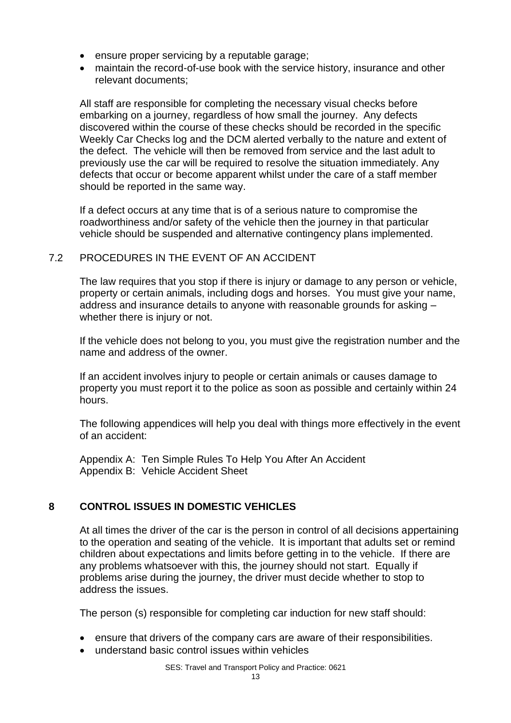- ensure proper servicing by a reputable garage;
- maintain the record-of-use book with the service history, insurance and other relevant documents;

All staff are responsible for completing the necessary visual checks before embarking on a journey, regardless of how small the journey. Any defects discovered within the course of these checks should be recorded in the specific Weekly Car Checks log and the DCM alerted verbally to the nature and extent of the defect. The vehicle will then be removed from service and the last adult to previously use the car will be required to resolve the situation immediately. Any defects that occur or become apparent whilst under the care of a staff member should be reported in the same way.

If a defect occurs at any time that is of a serious nature to compromise the roadworthiness and/or safety of the vehicle then the journey in that particular vehicle should be suspended and alternative contingency plans implemented.

#### 7.2 PROCEDURES IN THE EVENT OF AN ACCIDENT

The law requires that you stop if there is injury or damage to any person or vehicle, property or certain animals, including dogs and horses. You must give your name, address and insurance details to anyone with reasonable grounds for asking – whether there is injury or not.

If the vehicle does not belong to you, you must give the registration number and the name and address of the owner.

If an accident involves injury to people or certain animals or causes damage to property you must report it to the police as soon as possible and certainly within 24 hours.

The following appendices will help you deal with things more effectively in the event of an accident:

Appendix A: Ten Simple Rules To Help You After An Accident Appendix B: Vehicle Accident Sheet

# **8 CONTROL ISSUES IN DOMESTIC VEHICLES**

At all times the driver of the car is the person in control of all decisions appertaining to the operation and seating of the vehicle. It is important that adults set or remind children about expectations and limits before getting in to the vehicle. If there are any problems whatsoever with this, the journey should not start. Equally if problems arise during the journey, the driver must decide whether to stop to address the issues.

The person (s) responsible for completing car induction for new staff should:

- ensure that drivers of the company cars are aware of their responsibilities.
- understand basic control issues within vehicles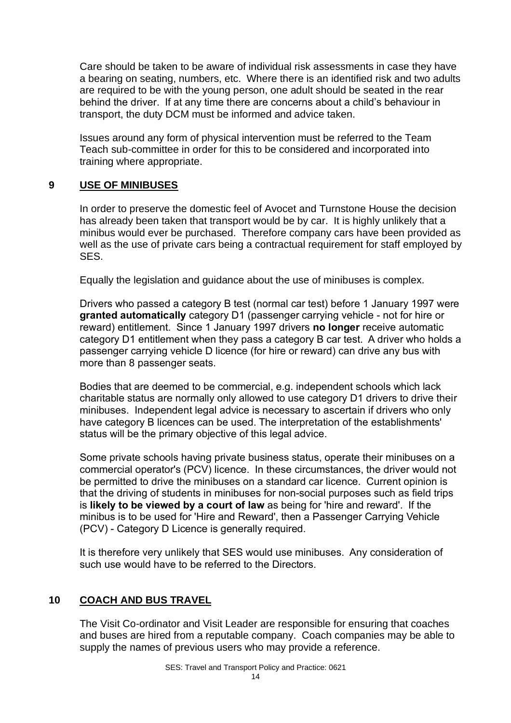Care should be taken to be aware of individual risk assessments in case they have a bearing on seating, numbers, etc. Where there is an identified risk and two adults are required to be with the young person, one adult should be seated in the rear behind the driver. If at any time there are concerns about a child's behaviour in transport, the duty DCM must be informed and advice taken.

Issues around any form of physical intervention must be referred to the Team Teach sub-committee in order for this to be considered and incorporated into training where appropriate.

# **9 USE OF MINIBUSES**

In order to preserve the domestic feel of Avocet and Turnstone House the decision has already been taken that transport would be by car. It is highly unlikely that a minibus would ever be purchased. Therefore company cars have been provided as well as the use of private cars being a contractual requirement for staff employed by SES.

Equally the legislation and guidance about the use of minibuses is complex.

Drivers who passed a category B test (normal car test) before 1 January 1997 were **granted automatically** category D1 (passenger carrying vehicle - not for hire or reward) entitlement. Since 1 January 1997 drivers **no longer** receive automatic category D1 entitlement when they pass a category B car test. A driver who holds a passenger carrying vehicle D licence (for hire or reward) can drive any bus with more than 8 passenger seats.

Bodies that are deemed to be commercial, e.g. independent schools which lack charitable status are normally only allowed to use category D1 drivers to drive their minibuses. Independent legal advice is necessary to ascertain if drivers who only have category B licences can be used. The interpretation of the establishments' status will be the primary objective of this legal advice.

Some private schools having private business status, operate their minibuses on a commercial operator's (PCV) licence. In these circumstances, the driver would not be permitted to drive the minibuses on a standard car licence. Current opinion is that the driving of students in minibuses for non-social purposes such as field trips is **likely to be viewed by a court of law** as being for 'hire and reward'. If the minibus is to be used for 'Hire and Reward', then a Passenger Carrying Vehicle (PCV) - Category D Licence is generally required.

It is therefore very unlikely that SES would use minibuses. Any consideration of such use would have to be referred to the Directors.

# **10 COACH AND BUS TRAVEL**

The Visit Co-ordinator and Visit Leader are responsible for ensuring that coaches and buses are hired from a reputable company. Coach companies may be able to supply the names of previous users who may provide a reference.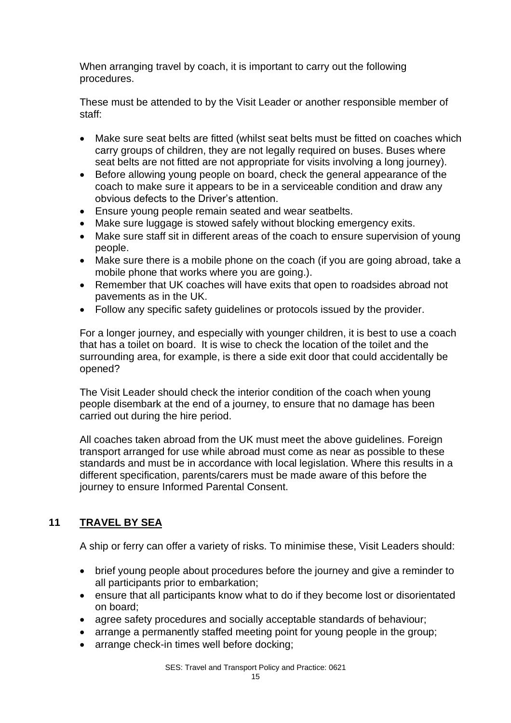When arranging travel by coach, it is important to carry out the following procedures.

These must be attended to by the Visit Leader or another responsible member of staff:

- Make sure seat belts are fitted (whilst seat belts must be fitted on coaches which carry groups of children, they are not legally required on buses. Buses where seat belts are not fitted are not appropriate for visits involving a long journey).
- Before allowing young people on board, check the general appearance of the coach to make sure it appears to be in a serviceable condition and draw any obvious defects to the Driver's attention.
- Ensure young people remain seated and wear seatbelts.
- Make sure luggage is stowed safely without blocking emergency exits.
- Make sure staff sit in different areas of the coach to ensure supervision of young people.
- Make sure there is a mobile phone on the coach (if you are going abroad, take a mobile phone that works where you are going.).
- Remember that UK coaches will have exits that open to roadsides abroad not pavements as in the UK.
- Follow any specific safety guidelines or protocols issued by the provider.

For a longer journey, and especially with younger children, it is best to use a coach that has a toilet on board. It is wise to check the location of the toilet and the surrounding area, for example, is there a side exit door that could accidentally be opened?

The Visit Leader should check the interior condition of the coach when young people disembark at the end of a journey, to ensure that no damage has been carried out during the hire period.

All coaches taken abroad from the UK must meet the above guidelines. Foreign transport arranged for use while abroad must come as near as possible to these standards and must be in accordance with local legislation. Where this results in a different specification, parents/carers must be made aware of this before the journey to ensure Informed Parental Consent.

# **11 TRAVEL BY SEA**

A ship or ferry can offer a variety of risks. To minimise these, Visit Leaders should:

- brief young people about procedures before the journey and give a reminder to all participants prior to embarkation;
- ensure that all participants know what to do if they become lost or disorientated on board;
- agree safety procedures and socially acceptable standards of behaviour;
- arrange a permanently staffed meeting point for young people in the group;
- arrange check-in times well before docking;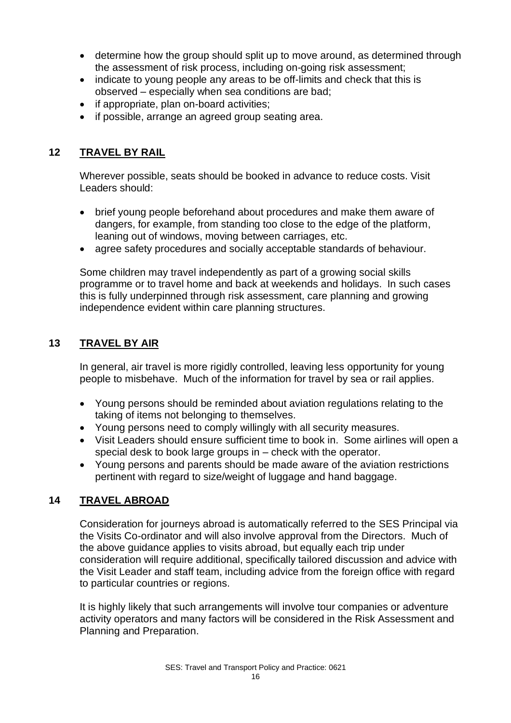- determine how the group should split up to move around, as determined through the assessment of risk process, including on-going risk assessment;
- indicate to young people any areas to be off-limits and check that this is observed – especially when sea conditions are bad;
- if appropriate, plan on-board activities;
- if possible, arrange an agreed group seating area.

# **12 TRAVEL BY RAIL**

Wherever possible, seats should be booked in advance to reduce costs. Visit Leaders should:

- brief young people beforehand about procedures and make them aware of dangers, for example, from standing too close to the edge of the platform, leaning out of windows, moving between carriages, etc.
- agree safety procedures and socially acceptable standards of behaviour.

Some children may travel independently as part of a growing social skills programme or to travel home and back at weekends and holidays. In such cases this is fully underpinned through risk assessment, care planning and growing independence evident within care planning structures.

# **13 TRAVEL BY AIR**

In general, air travel is more rigidly controlled, leaving less opportunity for young people to misbehave. Much of the information for travel by sea or rail applies.

- Young persons should be reminded about aviation regulations relating to the taking of items not belonging to themselves.
- Young persons need to comply willingly with all security measures.
- Visit Leaders should ensure sufficient time to book in. Some airlines will open a special desk to book large groups in – check with the operator.
- Young persons and parents should be made aware of the aviation restrictions pertinent with regard to size/weight of luggage and hand baggage.

# **14 TRAVEL ABROAD**

Consideration for journeys abroad is automatically referred to the SES Principal via the Visits Co-ordinator and will also involve approval from the Directors. Much of the above guidance applies to visits abroad, but equally each trip under consideration will require additional, specifically tailored discussion and advice with the Visit Leader and staff team, including advice from the foreign office with regard to particular countries or regions.

It is highly likely that such arrangements will involve tour companies or adventure activity operators and many factors will be considered in the Risk Assessment and Planning and Preparation.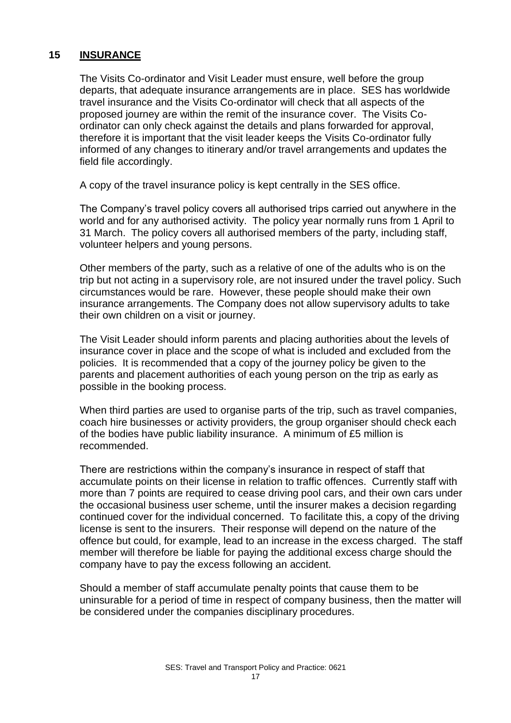#### **15 INSURANCE**

The Visits Co-ordinator and Visit Leader must ensure, well before the group departs, that adequate insurance arrangements are in place. SES has worldwide travel insurance and the Visits Co-ordinator will check that all aspects of the proposed journey are within the remit of the insurance cover. The Visits Coordinator can only check against the details and plans forwarded for approval, therefore it is important that the visit leader keeps the Visits Co-ordinator fully informed of any changes to itinerary and/or travel arrangements and updates the field file accordingly.

A copy of the travel insurance policy is kept centrally in the SES office.

The Company's travel policy covers all authorised trips carried out anywhere in the world and for any authorised activity. The policy year normally runs from 1 April to 31 March. The policy covers all authorised members of the party, including staff, volunteer helpers and young persons.

Other members of the party, such as a relative of one of the adults who is on the trip but not acting in a supervisory role, are not insured under the travel policy. Such circumstances would be rare. However, these people should make their own insurance arrangements. The Company does not allow supervisory adults to take their own children on a visit or journey.

The Visit Leader should inform parents and placing authorities about the levels of insurance cover in place and the scope of what is included and excluded from the policies. It is recommended that a copy of the journey policy be given to the parents and placement authorities of each young person on the trip as early as possible in the booking process.

When third parties are used to organise parts of the trip, such as travel companies, coach hire businesses or activity providers, the group organiser should check each of the bodies have public liability insurance. A minimum of £5 million is recommended.

There are restrictions within the company's insurance in respect of staff that accumulate points on their license in relation to traffic offences. Currently staff with more than 7 points are required to cease driving pool cars, and their own cars under the occasional business user scheme, until the insurer makes a decision regarding continued cover for the individual concerned. To facilitate this, a copy of the driving license is sent to the insurers. Their response will depend on the nature of the offence but could, for example, lead to an increase in the excess charged. The staff member will therefore be liable for paying the additional excess charge should the company have to pay the excess following an accident.

Should a member of staff accumulate penalty points that cause them to be uninsurable for a period of time in respect of company business, then the matter will be considered under the companies disciplinary procedures.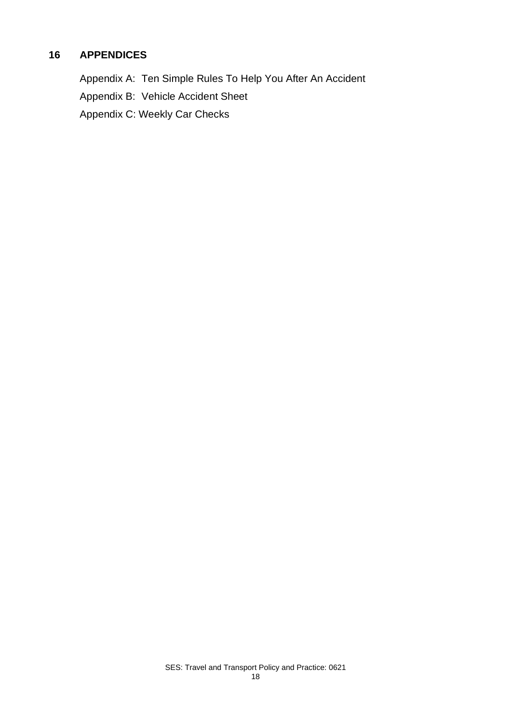# **16 APPENDICES**

Appendix A: Ten Simple Rules To Help You After An Accident

Appendix B: Vehicle Accident Sheet

Appendix C: Weekly Car Checks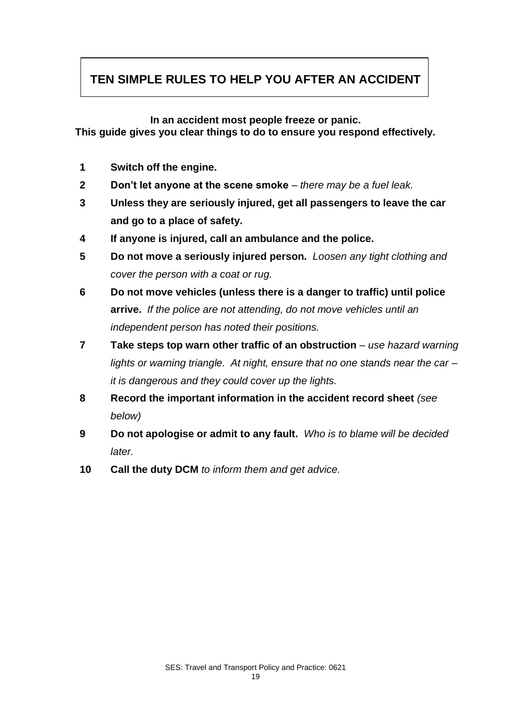# **TEN SIMPLE RULES TO HELP YOU AFTER AN ACCIDENT**

**In an accident most people freeze or panic.** 

**This guide gives you clear things to do to ensure you respond effectively.**

- **1 Switch off the engine.**
- **2 Don't let anyone at the scene smoke** *– there may be a fuel leak.*
- **3 Unless they are seriously injured, get all passengers to leave the car and go to a place of safety.**
- **4 If anyone is injured, call an ambulance and the police.**
- **5 Do not move a seriously injured person.** *Loosen any tight clothing and cover the person with a coat or rug.*
- **6 Do not move vehicles (unless there is a danger to traffic) until police arrive.** *If the police are not attending, do not move vehicles until an independent person has noted their positions.*
- **7 Take steps top warn other traffic of an obstruction** use hazard warning *lights or warning triangle. At night, ensure that no one stands near the car – it is dangerous and they could cover up the lights.*
- **8 Record the important information in the accident record sheet** *(see below)*
- **9 Do not apologise or admit to any fault.** *Who is to blame will be decided later.*
- **10 Call the duty DCM** *to inform them and get advice.*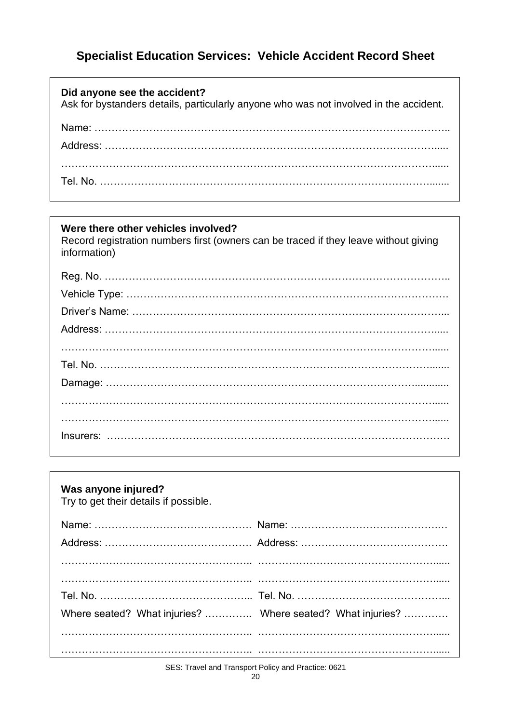# **Specialist Education Services: Vehicle Accident Record Sheet**

| Did anyone see the accident?<br>Ask for bystanders details, particularly anyone who was not involved in the accident. |
|-----------------------------------------------------------------------------------------------------------------------|
|                                                                                                                       |
|                                                                                                                       |
|                                                                                                                       |

# **Were there other vehicles involved?**

Record registration numbers first (owners can be traced if they leave without giving information)

| Was anyone injured?<br>Try to get their details if possible. |                                                            |
|--------------------------------------------------------------|------------------------------------------------------------|
|                                                              |                                                            |
|                                                              |                                                            |
|                                                              |                                                            |
|                                                              |                                                            |
|                                                              |                                                            |
|                                                              | Where seated? What injuries?  Where seated? What injuries? |
|                                                              |                                                            |
|                                                              |                                                            |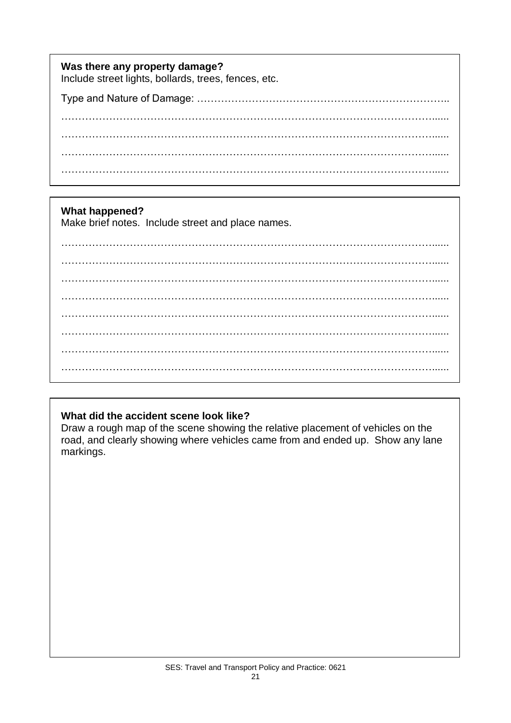| Was there any property damage?<br>Include street lights, bollards, trees, fences, etc. |
|----------------------------------------------------------------------------------------|
|                                                                                        |
|                                                                                        |
|                                                                                        |
|                                                                                        |
|                                                                                        |

# **What happened?**

Make brief notes. Include street and place names.

………………………………………………………………………………………………...... ………………………………………………………………………………………………......  $\mathcal{L}^{(n)}$ ………………………………………………………………………………………………...... ………………………………………………………………………………………………...... ………………………………………………………………………………………………...... ………………………………………………………………………………………………......

# **What did the accident scene look like?**

Draw a rough map of the scene showing the relative placement of vehicles on the road, and clearly showing where vehicles came from and ended up. Show any lane markings.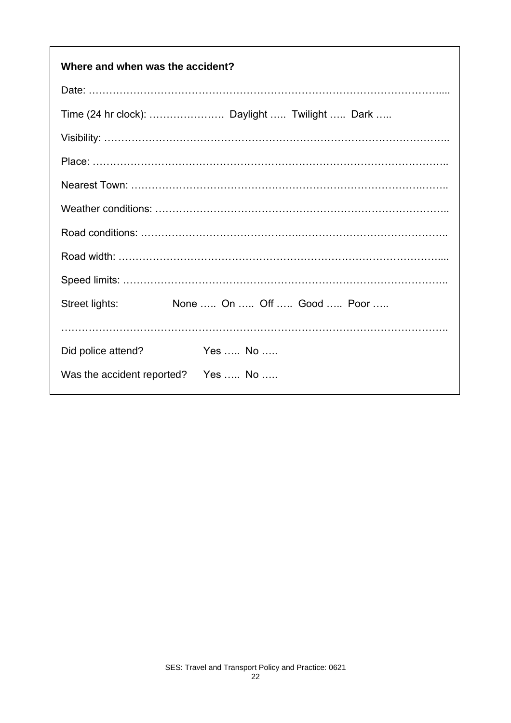| Where and when was the accident?            |  |  |  |  |
|---------------------------------------------|--|--|--|--|
|                                             |  |  |  |  |
|                                             |  |  |  |  |
|                                             |  |  |  |  |
|                                             |  |  |  |  |
|                                             |  |  |  |  |
|                                             |  |  |  |  |
|                                             |  |  |  |  |
|                                             |  |  |  |  |
|                                             |  |  |  |  |
| None  On  Off  Good  Poor<br>Street lights: |  |  |  |  |
|                                             |  |  |  |  |
| Yes  No<br>Did police attend?               |  |  |  |  |
| Was the accident reported? Yes  No          |  |  |  |  |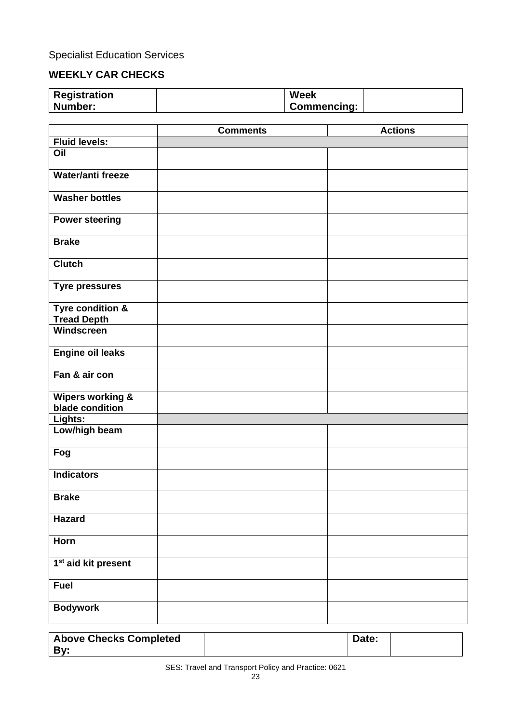Specialist Education Services

# **WEEKLY CAR CHECKS**

| <b>Registration</b> | <b>Week</b>        |  |
|---------------------|--------------------|--|
| Number:             | <b>Commencing:</b> |  |

|                                                | <b>Comments</b> | <b>Actions</b> |
|------------------------------------------------|-----------------|----------------|
| <b>Fluid levels:</b>                           |                 |                |
| Oil                                            |                 |                |
| Water/anti freeze                              |                 |                |
| <b>Washer bottles</b>                          |                 |                |
| <b>Power steering</b>                          |                 |                |
| <b>Brake</b>                                   |                 |                |
| <b>Clutch</b>                                  |                 |                |
| <b>Tyre pressures</b>                          |                 |                |
| Tyre condition &<br><b>Tread Depth</b>         |                 |                |
| Windscreen                                     |                 |                |
| <b>Engine oil leaks</b>                        |                 |                |
| Fan & air con                                  |                 |                |
| <b>Wipers working &amp;</b><br>blade condition |                 |                |
| Lights:                                        |                 |                |
| Low/high beam                                  |                 |                |
| Fog                                            |                 |                |
| <b>Indicators</b>                              |                 |                |
| <b>Brake</b>                                   |                 |                |
| <b>Hazard</b>                                  |                 |                |
| Horn                                           |                 |                |
| 1 <sup>st</sup> aid kit present                |                 |                |
| <b>Fuel</b>                                    |                 |                |
| <b>Bodywork</b>                                |                 |                |

| <b>Above Checks Completed</b> | Date: |  |
|-------------------------------|-------|--|
| . Bv                          |       |  |
|                               |       |  |